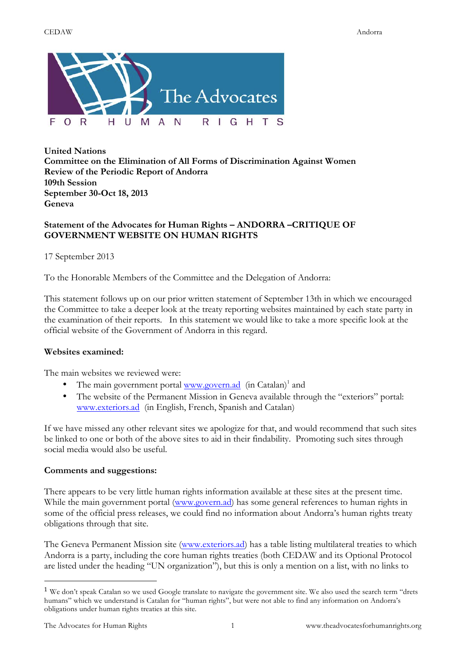

**United Nations Committee on the Elimination of All Forms of Discrimination Against Women Review of the Periodic Report of Andorra 109th Session September 30-Oct 18, 2013 Geneva**

## **Statement of the Advocates for Human Rights – ANDORRA –CRITIQUE OF GOVERNMENT WEBSITE ON HUMAN RIGHTS**

17 September 2013

To the Honorable Members of the Committee and the Delegation of Andorra:

This statement follows up on our prior written statement of September 13th in which we encouraged the Committee to take a deeper look at the treaty reporting websites maintained by each state party in the examination of their reports. In this statement we would like to take a more specific look at the official website of the Government of Andorra in this regard.

## **Websites examined:**

The main websites we reviewed were:

- The main government portal www.govern.ad  $(in Catalan)^1$  and
- The website of the Permanent Mission in Geneva available through the "exteriors" portal: www.exteriors.ad (in English, French, Spanish and Catalan)

If we have missed any other relevant sites we apologize for that, and would recommend that such sites be linked to one or both of the above sites to aid in their findability. Promoting such sites through social media would also be useful.

## **Comments and suggestions:**

There appears to be very little human rights information available at these sites at the present time. While the main government portal (www.govern.ad) has some general references to human rights in some of the official press releases, we could find no information about Andorra's human rights treaty obligations through that site.

The Geneva Permanent Mission site (www.exteriors.ad) has a table listing multilateral treaties to which Andorra is a party, including the core human rights treaties (both CEDAW and its Optional Protocol are listed under the heading "UN organization"), but this is only a mention on a list, with no links to

 

<sup>&</sup>lt;sup>1</sup> We don't speak Catalan so we used Google translate to navigate the government site. We also used the search term "drets humans" which we understand is Catalan for "human rights", but were not able to find any information on Andorra's obligations under human rights treaties at this site.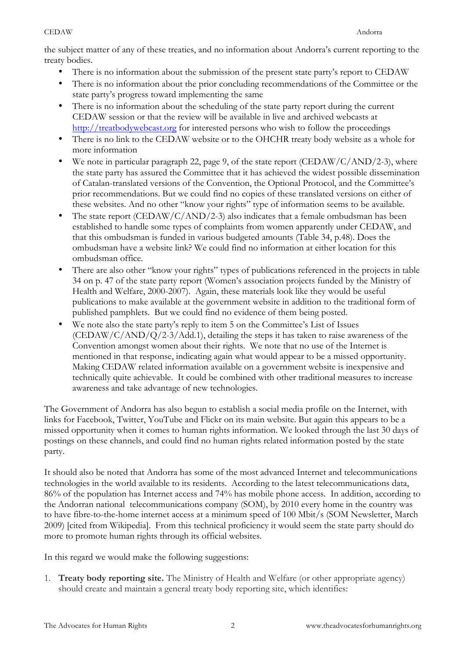## CEDAW Andorra

the subject matter of any of these treaties, and no information about Andorra's current reporting to the treaty bodies.

- There is no information about the submission of the present state party's report to CEDAW
- There is no information about the prior concluding recommendations of the Committee or the state party's progress toward implementing the same
- There is no information about the scheduling of the state party report during the current CEDAW session or that the review will be available in live and archived webcasts at http://treatbodywebcast.org for interested persons who wish to follow the proceedings
- There is no link to the CEDAW website or to the OHCHR treaty body website as a whole for more information
- We note in particular paragraph 22, page 9, of the state report (CEDAW/C/AND/2-3), where the state party has assured the Committee that it has achieved the widest possible dissemination of Catalan-translated versions of the Convention, the Optional Protocol, and the Committee's prior recommendations. But we could find no copies of these translated versions on either of these websites. And no other "know your rights" type of information seems to be available.
- The state report (CEDAW/C/AND/2-3) also indicates that a female ombudsman has been established to handle some types of complaints from women apparently under CEDAW, and that this ombudsman is funded in various budgeted amounts (Table 34, p.48). Does the ombudsman have a website link? We could find no information at either location for this ombudsman office.
- There are also other "know your rights" types of publications referenced in the projects in table 34 on p. 47 of the state party report (Women's association projects funded by the Ministry of Health and Welfare, 2000-2007). Again, these materials look like they would be useful publications to make available at the government website in addition to the traditional form of published pamphlets. But we could find no evidence of them being posted.
- We note also the state party's reply to item 5 on the Committee's List of Issues  $(CEDAW/C/AND/Q/2-3/Add.1)$ , detailing the steps it has taken to raise awareness of the Convention amongst women about their rights. We note that no use of the Internet is mentioned in that response, indicating again what would appear to be a missed opportunity. Making CEDAW related information available on a government website is inexpensive and technically quite achievable. It could be combined with other traditional measures to increase awareness and take advantage of new technologies.

The Government of Andorra has also begun to establish a social media profile on the Internet, with links for Facebook, Twitter, YouTube and Flickr on its main website. But again this appears to be a missed opportunity when it comes to human rights information. We looked through the last 30 days of postings on these channels, and could find no human rights related information posted by the state party.

It should also be noted that Andorra has some of the most advanced Internet and telecommunications technologies in the world available to its residents. According to the latest telecommunications data, 86% of the population has Internet access and 74% has mobile phone access. In addition, according to the Andorran national telecommunications company (SOM), by 2010 every home in the country was to have fibre-to-the-home internet access at a minimum speed of 100 Mbit/s (SOM Newsletter, March 2009) [cited from Wikipedia]. From this technical proficiency it would seem the state party should do more to promote human rights through its official websites.

In this regard we would make the following suggestions:

1. **Treaty body reporting site.** The Ministry of Health and Welfare (or other appropriate agency) should create and maintain a general treaty body reporting site, which identifies: